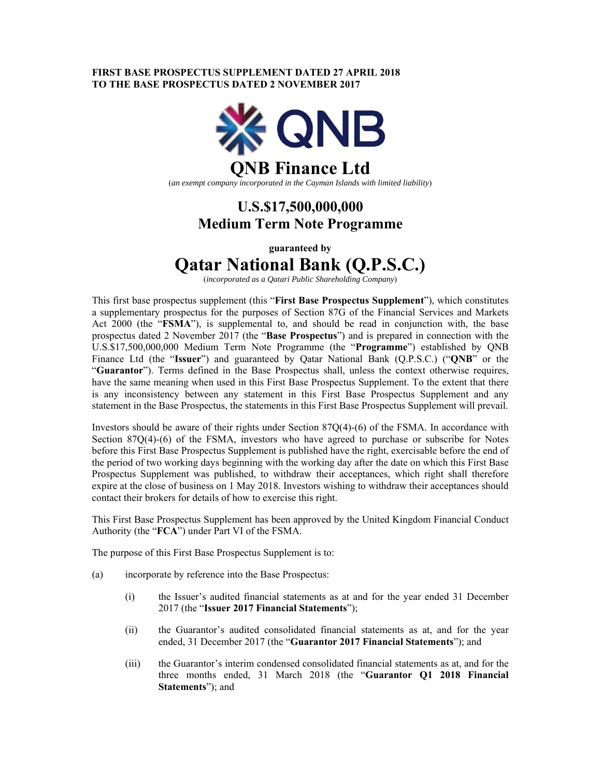# **FIRST BASE PROSPECTUS SUPPLEMENT DATED 27 APRIL 2018 TO THE BASE PROSPECTUS DATED 2 NOVEMBER 2017**



(*an exempt company incorporated in the Cayman Islands with limited liability*)

# **U.S.\$17,500,000,000 Medium Term Note Programme**

**guaranteed by** 

# **Qatar National Bank (Q.P.S.C.)**

(*incorporated as a Qatari Public Shareholding Company*)

This first base prospectus supplement (this "**First Base Prospectus Supplement**"), which constitutes a supplementary prospectus for the purposes of Section 87G of the Financial Services and Markets Act 2000 (the "**FSMA**"), is supplemental to, and should be read in conjunction with, the base prospectus dated 2 November 2017 (the "**Base Prospectus**") and is prepared in connection with the U.S.\$17,500,000,000 Medium Term Note Programme (the "**Programme**") established by QNB Finance Ltd (the "**Issuer**") and guaranteed by Qatar National Bank (Q.P.S.C.) ("**QNB**" or the "**Guarantor**"). Terms defined in the Base Prospectus shall, unless the context otherwise requires, have the same meaning when used in this First Base Prospectus Supplement. To the extent that there is any inconsistency between any statement in this First Base Prospectus Supplement and any statement in the Base Prospectus, the statements in this First Base Prospectus Supplement will prevail.

Investors should be aware of their rights under Section 87Q(4)-(6) of the FSMA. In accordance with Section 87Q(4)-(6) of the FSMA, investors who have agreed to purchase or subscribe for Notes before this First Base Prospectus Supplement is published have the right, exercisable before the end of the period of two working days beginning with the working day after the date on which this First Base Prospectus Supplement was published, to withdraw their acceptances, which right shall therefore expire at the close of business on 1 May 2018. Investors wishing to withdraw their acceptances should contact their brokers for details of how to exercise this right.

This First Base Prospectus Supplement has been approved by the United Kingdom Financial Conduct Authority (the "**FCA**") under Part VI of the FSMA.

The purpose of this First Base Prospectus Supplement is to:

- (a) incorporate by reference into the Base Prospectus:
	- (i) the Issuer's audited financial statements as at and for the year ended 31 December 2017 (the "**Issuer 2017 Financial Statements**");
	- (ii) the Guarantor's audited consolidated financial statements as at, and for the year ended, 31 December 2017 (the "**Guarantor 2017 Financial Statements**"); and
	- (iii) the Guarantor's interim condensed consolidated financial statements as at, and for the three months ended, 31 March 2018 (the "**Guarantor Q1 2018 Financial Statements**"); and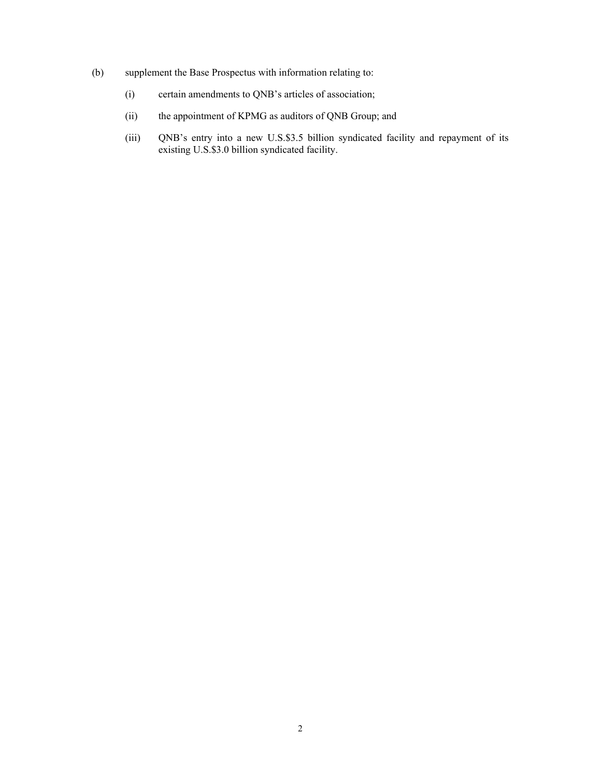- (b) supplement the Base Prospectus with information relating to:
	- (i) certain amendments to QNB's articles of association;
	- (ii) the appointment of KPMG as auditors of QNB Group; and
	- (iii) QNB's entry into a new U.S.\$3.5 billion syndicated facility and repayment of its existing U.S.\$3.0 billion syndicated facility.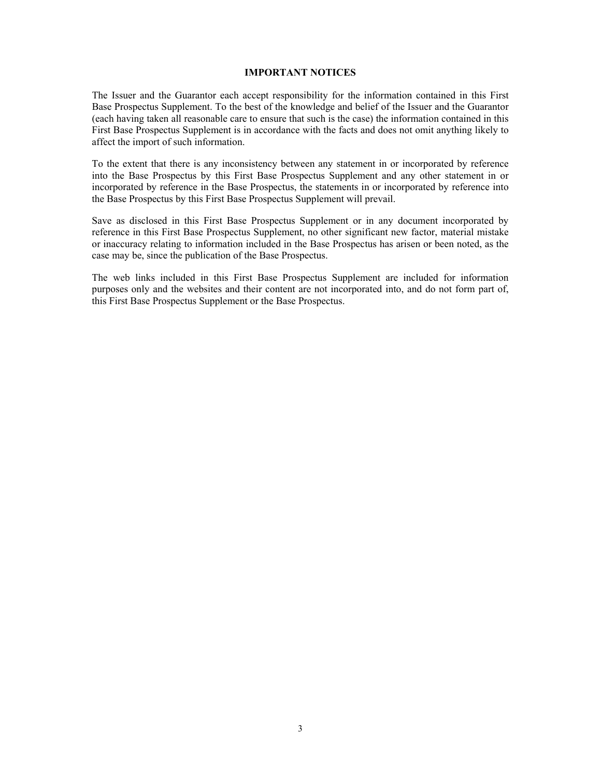#### **IMPORTANT NOTICES**

The Issuer and the Guarantor each accept responsibility for the information contained in this First Base Prospectus Supplement. To the best of the knowledge and belief of the Issuer and the Guarantor (each having taken all reasonable care to ensure that such is the case) the information contained in this First Base Prospectus Supplement is in accordance with the facts and does not omit anything likely to affect the import of such information.

To the extent that there is any inconsistency between any statement in or incorporated by reference into the Base Prospectus by this First Base Prospectus Supplement and any other statement in or incorporated by reference in the Base Prospectus, the statements in or incorporated by reference into the Base Prospectus by this First Base Prospectus Supplement will prevail.

Save as disclosed in this First Base Prospectus Supplement or in any document incorporated by reference in this First Base Prospectus Supplement, no other significant new factor, material mistake or inaccuracy relating to information included in the Base Prospectus has arisen or been noted, as the case may be, since the publication of the Base Prospectus.

The web links included in this First Base Prospectus Supplement are included for information purposes only and the websites and their content are not incorporated into, and do not form part of, this First Base Prospectus Supplement or the Base Prospectus.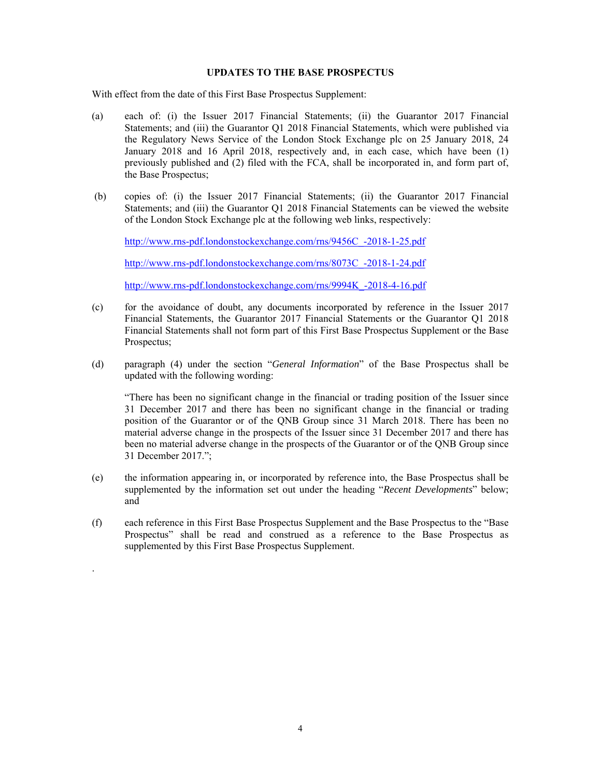## **UPDATES TO THE BASE PROSPECTUS**

With effect from the date of this First Base Prospectus Supplement:

- (a) each of: (i) the Issuer 2017 Financial Statements; (ii) the Guarantor 2017 Financial Statements; and (iii) the Guarantor Q1 2018 Financial Statements, which were published via the Regulatory News Service of the London Stock Exchange plc on 25 January 2018, 24 January 2018 and 16 April 2018, respectively and, in each case, which have been (1) previously published and (2) filed with the FCA, shall be incorporated in, and form part of, the Base Prospectus;
- (b) copies of: (i) the Issuer 2017 Financial Statements; (ii) the Guarantor 2017 Financial Statements; and (iii) the Guarantor Q1 2018 Financial Statements can be viewed the website of the London Stock Exchange plc at the following web links, respectively:

http://www.rns-pdf.londonstockexchange.com/rns/9456C\_-2018-1-25.pdf

http://www.rns-pdf.londonstockexchange.com/rns/8073C\_-2018-1-24.pdf

http://www.rns-pdf.londonstockexchange.com/rns/9994K\_-2018-4-16.pdf

- (c) for the avoidance of doubt, any documents incorporated by reference in the Issuer 2017 Financial Statements, the Guarantor 2017 Financial Statements or the Guarantor Q1 2018 Financial Statements shall not form part of this First Base Prospectus Supplement or the Base Prospectus;
- (d) paragraph (4) under the section "*General Information*" of the Base Prospectus shall be updated with the following wording:

 "There has been no significant change in the financial or trading position of the Issuer since 31 December 2017 and there has been no significant change in the financial or trading position of the Guarantor or of the QNB Group since 31 March 2018. There has been no material adverse change in the prospects of the Issuer since 31 December 2017 and there has been no material adverse change in the prospects of the Guarantor or of the QNB Group since 31 December 2017.";

- (e) the information appearing in, or incorporated by reference into, the Base Prospectus shall be supplemented by the information set out under the heading "*Recent Developments*" below; and
- (f) each reference in this First Base Prospectus Supplement and the Base Prospectus to the "Base Prospectus" shall be read and construed as a reference to the Base Prospectus as supplemented by this First Base Prospectus Supplement.

.